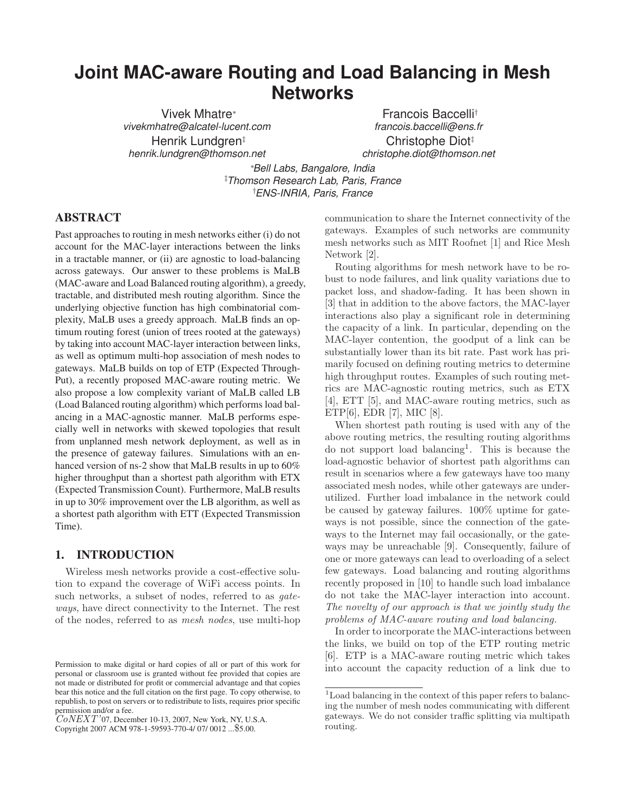# **Joint MAC-aware Routing and Load Balancing in Mesh Networks**

Vivek Mhatre<sup>∗</sup> vivekmhatre@alcatel-lucent.com Henrik Lundgren‡ henrik.lundgren@thomson.net

Francois Baccelli† francois.baccelli@ens.fr Christophe Diot<sup>‡</sup> christophe.diot@thomson.net

<sup>∗</sup>Bell Labs, Bangalore, India ‡Thomson Research Lab, Paris, France †ENS-INRIA, Paris, France

# **ABSTRACT**

Past approaches to routing in mesh networks either (i) do not account for the MAC-layer interactions between the links in a tractable manner, or (ii) are agnostic to load-balancing across gateways. Our answer to these problems is MaLB (MAC-aware and Load Balanced routing algorithm), a greedy, tractable, and distributed mesh routing algorithm. Since the underlying objective function has high combinatorial complexity, MaLB uses a greedy approach. MaLB finds an optimum routing forest (union of trees rooted at the gateways) by taking into account MAC-layer interaction between links, as well as optimum multi-hop association of mesh nodes to gateways. MaLB builds on top of ETP (Expected Through-Put), a recently proposed MAC-aware routing metric. We also propose a low complexity variant of MaLB called LB (Load Balanced routing algorithm) which performs load balancing in a MAC-agnostic manner. MaLB performs especially well in networks with skewed topologies that result from unplanned mesh network deployment, as well as in the presence of gateway failures. Simulations with an enhanced version of ns-2 show that MaLB results in up to  $60\%$ higher throughput than a shortest path algorithm with ETX (Expected Transmission Count). Furthermore, MaLB results in up to 30% improvement over the LB algorithm, as well as a shortest path algorithm with ETT (Expected Transmission Time).

## **1. INTRODUCTION**

Wireless mesh networks provide a cost-effective solution to expand the coverage of WiFi access points. In such networks, a subset of nodes, referred to as *gate*ways, have direct connectivity to the Internet. The rest of the nodes, referred to as mesh nodes, use multi-hop

 $\hat{C}$ ONEXT'07, December 10-13, 2007, New York, NY, U.S.A.

communication to share the Internet connectivity of the gateways. Examples of such networks are community mesh networks such as MIT Roofnet [1] and Rice Mesh Network [2].

Routing algorithms for mesh network have to be robust to node failures, and link quality variations due to packet loss, and shadow-fading. It has been shown in [3] that in addition to the above factors, the MAC-layer interactions also play a significant role in determining the capacity of a link. In particular, depending on the MAC-layer contention, the goodput of a link can be substantially lower than its bit rate. Past work has primarily focused on defining routing metrics to determine high throughput routes. Examples of such routing metrics are MAC-agnostic routing metrics, such as ETX [4], ETT [5], and MAC-aware routing metrics, such as ETP[6], EDR [7], MIC [8].

When shortest path routing is used with any of the above routing metrics, the resulting routing algorithms do not support load balancing<sup>1</sup> . This is because the load-agnostic behavior of shortest path algorithms can result in scenarios where a few gateways have too many associated mesh nodes, while other gateways are underutilized. Further load imbalance in the network could be caused by gateway failures. 100% uptime for gateways is not possible, since the connection of the gateways to the Internet may fail occasionally, or the gateways may be unreachable [9]. Consequently, failure of one or more gateways can lead to overloading of a select few gateways. Load balancing and routing algorithms recently proposed in [10] to handle such load imbalance do not take the MAC-layer interaction into account. The novelty of our approach is that we jointly study the problems of MAC-aware routing and load balancing.

In order to incorporate the MAC-interactions between the links, we build on top of the ETP routing metric [6]. ETP is a MAC-aware routing metric which takes into account the capacity reduction of a link due to

Permission to make digital or hard copies of all or part of this work for personal or classroom use is granted without fee provided that copies are not made or distributed for profit or commercial advantage and that copies bear this notice and the full citation on the first page. To copy otherwise, to republish, to post on servers or to redistribute to lists, requires prior specific permission and/or a fee.

Copyright 2007 ACM 978-1-59593-770-4/ 07/ 0012 ...\$5.00.

<sup>&</sup>lt;sup>1</sup>Load balancing in the context of this paper refers to balancing the number of mesh nodes communicating with different gateways. We do not consider traffic splitting via multipath routing.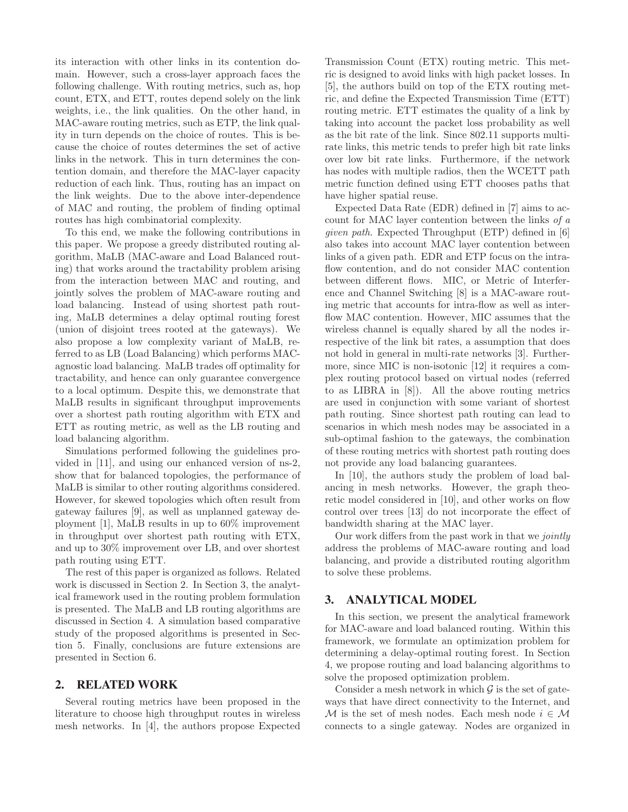its interaction with other links in its contention domain. However, such a cross-layer approach faces the following challenge. With routing metrics, such as, hop count, ETX, and ETT, routes depend solely on the link weights, i.e., the link qualities. On the other hand, in MAC-aware routing metrics, such as ETP, the link quality in turn depends on the choice of routes. This is because the choice of routes determines the set of active links in the network. This in turn determines the contention domain, and therefore the MAC-layer capacity reduction of each link. Thus, routing has an impact on the link weights. Due to the above inter-dependence of MAC and routing, the problem of finding optimal routes has high combinatorial complexity.

To this end, we make the following contributions in this paper. We propose a greedy distributed routing algorithm, MaLB (MAC-aware and Load Balanced routing) that works around the tractability problem arising from the interaction between MAC and routing, and jointly solves the problem of MAC-aware routing and load balancing. Instead of using shortest path routing, MaLB determines a delay optimal routing forest (union of disjoint trees rooted at the gateways). We also propose a low complexity variant of MaLB, referred to as LB (Load Balancing) which performs MACagnostic load balancing. MaLB trades off optimality for tractability, and hence can only guarantee convergence to a local optimum. Despite this, we demonstrate that MaLB results in significant throughput improvements over a shortest path routing algorithm with ETX and ETT as routing metric, as well as the LB routing and load balancing algorithm.

Simulations performed following the guidelines provided in [11], and using our enhanced version of ns-2, show that for balanced topologies, the performance of MaLB is similar to other routing algorithms considered. However, for skewed topologies which often result from gateway failures [9], as well as unplanned gateway deployment [1], MaLB results in up to 60% improvement in throughput over shortest path routing with ETX, and up to 30% improvement over LB, and over shortest path routing using ETT.

The rest of this paper is organized as follows. Related work is discussed in Section 2. In Section 3, the analytical framework used in the routing problem formulation is presented. The MaLB and LB routing algorithms are discussed in Section 4. A simulation based comparative study of the proposed algorithms is presented in Section 5. Finally, conclusions are future extensions are presented in Section 6.

#### **2. RELATED WORK**

Several routing metrics have been proposed in the literature to choose high throughput routes in wireless mesh networks. In [4], the authors propose Expected

Transmission Count (ETX) routing metric. This metric is designed to avoid links with high packet losses. In [5], the authors build on top of the ETX routing metric, and define the Expected Transmission Time (ETT) routing metric. ETT estimates the quality of a link by taking into account the packet loss probability as well as the bit rate of the link. Since 802.11 supports multirate links, this metric tends to prefer high bit rate links over low bit rate links. Furthermore, if the network has nodes with multiple radios, then the WCETT path metric function defined using ETT chooses paths that have higher spatial reuse.

Expected Data Rate (EDR) defined in [7] aims to account for MAC layer contention between the links of a given path. Expected Throughput (ETP) defined in [6] also takes into account MAC layer contention between links of a given path. EDR and ETP focus on the intraflow contention, and do not consider MAC contention between different flows. MIC, or Metric of Interference and Channel Switching [8] is a MAC-aware routing metric that accounts for intra-flow as well as interflow MAC contention. However, MIC assumes that the wireless channel is equally shared by all the nodes irrespective of the link bit rates, a assumption that does not hold in general in multi-rate networks [3]. Furthermore, since MIC is non-isotonic [12] it requires a complex routing protocol based on virtual nodes (referred to as LIBRA in [8]). All the above routing metrics are used in conjunction with some variant of shortest path routing. Since shortest path routing can lead to scenarios in which mesh nodes may be associated in a sub-optimal fashion to the gateways, the combination of these routing metrics with shortest path routing does not provide any load balancing guarantees.

In [10], the authors study the problem of load balancing in mesh networks. However, the graph theoretic model considered in [10], and other works on flow control over trees [13] do not incorporate the effect of bandwidth sharing at the MAC layer.

Our work differs from the past work in that we jointly address the problems of MAC-aware routing and load balancing, and provide a distributed routing algorithm to solve these problems.

## **3. ANALYTICAL MODEL**

In this section, we present the analytical framework for MAC-aware and load balanced routing. Within this framework, we formulate an optimization problem for determining a delay-optimal routing forest. In Section 4, we propose routing and load balancing algorithms to solve the proposed optimization problem.

Consider a mesh network in which  $\mathcal G$  is the set of gateways that have direct connectivity to the Internet, and M is the set of mesh nodes. Each mesh node  $i \in \mathcal{M}$ connects to a single gateway. Nodes are organized in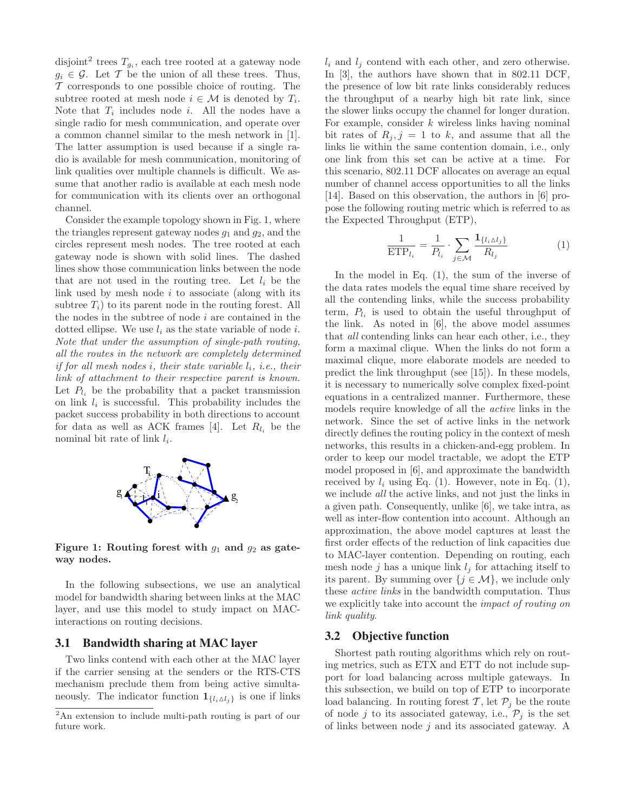disjoint<sup>2</sup> trees  $T_{g_i}$ , each tree rooted at a gateway node  $g_i \in \mathcal{G}$ . Let T be the union of all these trees. Thus, T corresponds to one possible choice of routing. The subtree rooted at mesh node  $i \in \mathcal{M}$  is denoted by  $T_i$ . Note that  $T_i$  includes node *i*. All the nodes have a single radio for mesh communication, and operate over a common channel similar to the mesh network in [1]. The latter assumption is used because if a single radio is available for mesh communication, monitoring of link qualities over multiple channels is difficult. We assume that another radio is available at each mesh node for communication with its clients over an orthogonal channel.

Consider the example topology shown in Fig. 1, where the triangles represent gateway nodes  $g_1$  and  $g_2$ , and the circles represent mesh nodes. The tree rooted at each gateway node is shown with solid lines. The dashed lines show those communication links between the node that are not used in the routing tree. Let  $l_i$  be the link used by mesh node  $i$  to associate (along with its subtree  $T_i$ ) to its parent node in the routing forest. All the nodes in the subtree of node  $i$  are contained in the dotted ellipse. We use  $l_i$  as the state variable of node i. Note that under the assumption of single-path routing, all the routes in the network are completely determined if for all mesh nodes i, their state variable  $l_i$ , i.e., their link of attachment to their respective parent is known. Let  $P_{l_i}$  be the probability that a packet transmission on link  $l_i$  is successful. This probability includes the packet success probability in both directions to account for data as well as ACK frames [4]. Let  $R_{l_i}$  be the nominal bit rate of link  $l_i$ .



Figure 1: Routing forest with  $g_1$  and  $g_2$  as gateway nodes.

In the following subsections, we use an analytical model for bandwidth sharing between links at the MAC layer, and use this model to study impact on MACinteractions on routing decisions.

## **3.1 Bandwidth sharing at MAC layer**

Two links contend with each other at the MAC layer if the carrier sensing at the senders or the RTS-CTS mechanism preclude them from being active simultaneously. The indicator function  $\mathbf{1}_{\{l_i \Delta l_i\}}$  is one if links  $l_i$  and  $l_j$  contend with each other, and zero otherwise. In [3], the authors have shown that in 802.11 DCF, the presence of low bit rate links considerably reduces the throughput of a nearby high bit rate link, since the slower links occupy the channel for longer duration. For example, consider  $k$  wireless links having nominal bit rates of  $R_j$ ,  $j = 1$  to k, and assume that all the links lie within the same contention domain, i.e., only one link from this set can be active at a time. For this scenario, 802.11 DCF allocates on average an equal number of channel access opportunities to all the links [14]. Based on this observation, the authors in [6] propose the following routing metric which is referred to as the Expected Throughput (ETP),

$$
\frac{1}{\mathrm{ETP}_{l_i}} = \frac{1}{P_{l_i}} \cdot \sum_{j \in \mathcal{M}} \frac{\mathbf{1}_{\{l_i \Delta l_j\}}}{R_{l_j}} \tag{1}
$$

In the model in Eq. (1), the sum of the inverse of the data rates models the equal time share received by all the contending links, while the success probability term,  $P_{l_i}$  is used to obtain the useful throughput of the link. As noted in [6], the above model assumes that all contending links can hear each other, i.e., they form a maximal clique. When the links do not form a maximal clique, more elaborate models are needed to predict the link throughput (see [15]). In these models, it is necessary to numerically solve complex fixed-point equations in a centralized manner. Furthermore, these models require knowledge of all the active links in the network. Since the set of active links in the network directly defines the routing policy in the context of mesh networks, this results in a chicken-and-egg problem. In order to keep our model tractable, we adopt the ETP model proposed in [6], and approximate the bandwidth received by  $l_i$  using Eq. (1). However, note in Eq. (1), we include *all* the active links, and not just the links in a given path. Consequently, unlike [6], we take intra, as well as inter-flow contention into account. Although an approximation, the above model captures at least the first order effects of the reduction of link capacities due to MAC-layer contention. Depending on routing, each mesh node j has a unique link  $l_i$  for attaching itself to its parent. By summing over  $\{j \in \mathcal{M}\}$ , we include only these active links in the bandwidth computation. Thus we explicitly take into account the impact of routing on link quality.

## **3.2 Objective function**

Shortest path routing algorithms which rely on routing metrics, such as ETX and ETT do not include support for load balancing across multiple gateways. In this subsection, we build on top of ETP to incorporate load balancing. In routing forest  $\mathcal{T}$ , let  $\mathcal{P}_j$  be the route of node j to its associated gateway, i.e.,  $\mathcal{P}_j$  is the set of links between node  $j$  and its associated gateway. A

<sup>2</sup>An extension to include multi-path routing is part of our future work.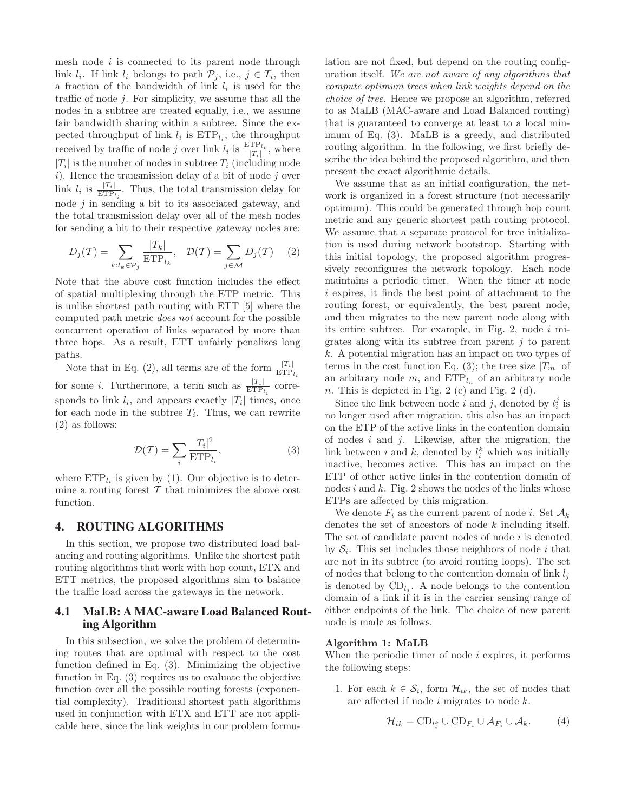mesh node  $i$  is connected to its parent node through link  $l_i$ . If link  $l_i$  belongs to path  $\mathcal{P}_j$ , i.e.,  $j \in T_i$ , then a fraction of the bandwidth of link  $l_i$  is used for the traffic of node  $j$ . For simplicity, we assume that all the nodes in a subtree are treated equally, i.e., we assume fair bandwidth sharing within a subtree. Since the expected throughput of link  $l_i$  is  $ETP_{l_i}$ , the throughput received by traffic of node j over link  $l_i$  is  $\frac{\text{ETP}_{l_i}}{|T_i|}$ , where  $|T_i|$  is the number of nodes in subtree  $T_i$  (including node i). Hence the transmission delay of a bit of node  $j$  over link  $l_i$  is  $\frac{|T_i|}{\text{ETP}_{l_i}}$ . Thus, the total transmission delay for node  $j$  in sending a bit to its associated gateway, and the total transmission delay over all of the mesh nodes for sending a bit to their respective gateway nodes are:

$$
D_j(\mathcal{T}) = \sum_{k:l_k \in \mathcal{P}_j} \frac{|T_k|}{\mathrm{ETP}_{l_k}}, \quad \mathcal{D}(\mathcal{T}) = \sum_{j \in \mathcal{M}} D_j(\mathcal{T}) \quad (2)
$$

Note that the above cost function includes the effect of spatial multiplexing through the ETP metric. This is unlike shortest path routing with ETT [5] where the computed path metric does not account for the possible concurrent operation of links separated by more than three hops. As a result, ETT unfairly penalizes long paths.

Note that in Eq. (2), all terms are of the form  $\frac{|T_i|}{\text{ETP}_{l_i}}$ for some *i*. Furthermore, a term such as  $\frac{|T_i|}{\text{ETP}_{l_i}}$  corresponds to link  $l_i$ , and appears exactly  $|T_i|$  times, once for each node in the subtree  $T_i$ . Thus, we can rewrite (2) as follows:

$$
\mathcal{D}(\mathcal{T}) = \sum_{i} \frac{|T_i|^2}{\text{ETP}_{l_i}},\tag{3}
$$

where  $ETP_{l_i}$  is given by (1). Our objective is to determine a routing forest  $T$  that minimizes the above cost function.

## **4. ROUTING ALGORITHMS**

In this section, we propose two distributed load balancing and routing algorithms. Unlike the shortest path routing algorithms that work with hop count, ETX and ETT metrics, the proposed algorithms aim to balance the traffic load across the gateways in the network.

## **4.1 MaLB: A MAC-aware Load Balanced Routing Algorithm**

In this subsection, we solve the problem of determining routes that are optimal with respect to the cost function defined in Eq. (3). Minimizing the objective function in Eq. (3) requires us to evaluate the objective function over all the possible routing forests (exponential complexity). Traditional shortest path algorithms used in conjunction with ETX and ETT are not applicable here, since the link weights in our problem formulation are not fixed, but depend on the routing configuration itself. We are not aware of any algorithms that compute optimum trees when link weights depend on the choice of tree. Hence we propose an algorithm, referred to as MaLB (MAC-aware and Load Balanced routing) that is guaranteed to converge at least to a local minimum of Eq. (3). MaLB is a greedy, and distributed routing algorithm. In the following, we first briefly describe the idea behind the proposed algorithm, and then present the exact algorithmic details.

We assume that as an initial configuration, the network is organized in a forest structure (not necessarily optimum). This could be generated through hop count metric and any generic shortest path routing protocol. We assume that a separate protocol for tree initialization is used during network bootstrap. Starting with this initial topology, the proposed algorithm progressively reconfigures the network topology. Each node maintains a periodic timer. When the timer at node i expires, it finds the best point of attachment to the routing forest, or equivalently, the best parent node, and then migrates to the new parent node along with its entire subtree. For example, in Fig. 2, node  $i$  migrates along with its subtree from parent  $j$  to parent k. A potential migration has an impact on two types of terms in the cost function Eq. (3); the tree size  $|T_m|$  of an arbitrary node  $m$ , and  $ETP_{l_n}$  of an arbitrary node n. This is depicted in Fig. 2 (c) and Fig. 2 (d).

Since the link between node *i* and *j*, denoted by  $l_i^j$  is no longer used after migration, this also has an impact on the ETP of the active links in the contention domain of nodes  $i$  and  $j$ . Likewise, after the migration, the link between  $i$  and  $k$ , denoted by  $l_i^k$  which was initially inactive, becomes active. This has an impact on the ETP of other active links in the contention domain of nodes i and  $k$ . Fig. 2 shows the nodes of the links whose ETPs are affected by this migration.

We denote  $F_i$  as the current parent of node *i*. Set  $\mathcal{A}_k$ denotes the set of ancestors of node  $k$  including itself. The set of candidate parent nodes of node  $i$  is denoted by  $S_i$ . This set includes those neighbors of node i that are not in its subtree (to avoid routing loops). The set of nodes that belong to the contention domain of link  $l_i$ is denoted by  $CD_{l_j}$ . A node belongs to the contention domain of a link if it is in the carrier sensing range of either endpoints of the link. The choice of new parent node is made as follows.

#### Algorithm 1: MaLB

When the periodic timer of node  $i$  expires, it performs the following steps:

1. For each  $k \in \mathcal{S}_i$ , form  $\mathcal{H}_{ik}$ , the set of nodes that are affected if node  $i$  migrates to node  $k$ .

$$
\mathcal{H}_{ik} = \mathrm{CD}_{l_i^k} \cup \mathrm{CD}_{F_i} \cup \mathcal{A}_{F_i} \cup \mathcal{A}_k. \tag{4}
$$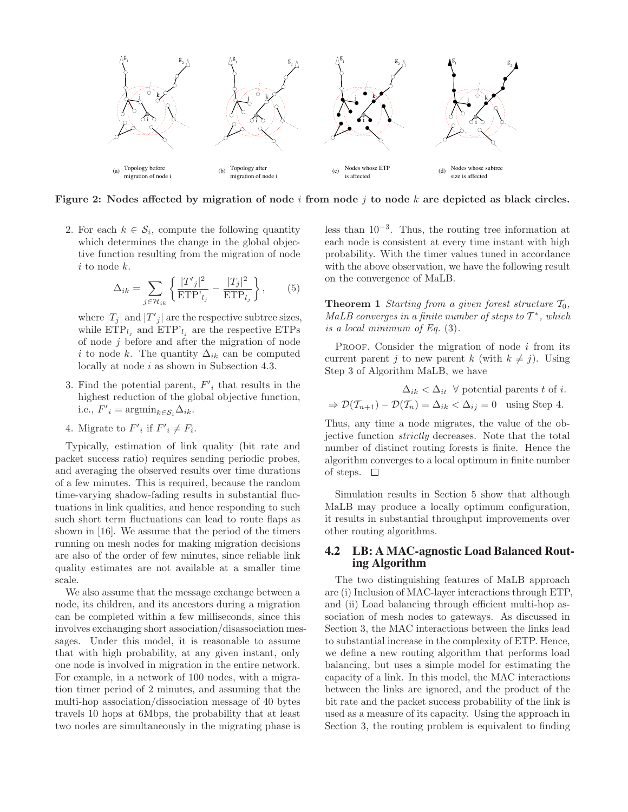

Figure 2: Nodes affected by migration of node i from node j to node k are depicted as black circles.

2. For each  $k \in \mathcal{S}_i$ , compute the following quantity which determines the change in the global objective function resulting from the migration of node i to node k.

$$
\Delta_{ik} = \sum_{j \in \mathcal{H}_{ik}} \left\{ \frac{|T'j|^2}{\mathrm{ETP'}_{lj}} - \frac{|T_j|^2}{\mathrm{ETP}_{lj}} \right\},\qquad(5)
$$

where  $|T_j|$  and  $|T'_{j}|$  are the respective subtree sizes, while  $ETP_{l_j}$  and  $ETP'_{l_j}$  are the respective ETPs of node j before and after the migration of node i to node k. The quantity  $\Delta_{ik}$  can be computed locally at node i as shown in Subsection 4.3.

- 3. Find the potential parent,  $F'$ <sub>i</sub> that results in the highest reduction of the global objective function, i.e.,  $F'_{i} = \operatorname{argmin}_{k \in \mathcal{S}_{i}} \Delta_{ik}$ .
- 4. Migrate to  $F'$  if  $F'$   $\neq$   $F_i$ .

Typically, estimation of link quality (bit rate and packet success ratio) requires sending periodic probes, and averaging the observed results over time durations of a few minutes. This is required, because the random time-varying shadow-fading results in substantial fluctuations in link qualities, and hence responding to such such short term fluctuations can lead to route flaps as shown in [16]. We assume that the period of the timers running on mesh nodes for making migration decisions are also of the order of few minutes, since reliable link quality estimates are not available at a smaller time scale.

We also assume that the message exchange between a node, its children, and its ancestors during a migration can be completed within a few milliseconds, since this involves exchanging short association/disassociation messages. Under this model, it is reasonable to assume that with high probability, at any given instant, only one node is involved in migration in the entire network. For example, in a network of 100 nodes, with a migration timer period of 2 minutes, and assuming that the multi-hop association/dissociation message of 40 bytes travels 10 hops at 6Mbps, the probability that at least two nodes are simultaneously in the migrating phase is

less than 10−<sup>3</sup> . Thus, the routing tree information at each node is consistent at every time instant with high probability. With the timer values tuned in accordance with the above observation, we have the following result on the convergence of MaLB.

**Theorem 1** Starting from a given forest structure  $\mathcal{T}_0$ ,  $MaLB$  converges in a finite number of steps to  $T^*$ , which is a local minimum of Eq. (3).

PROOF. Consider the migration of node  $i$  from its current parent j to new parent k (with  $k \neq j$ ). Using Step 3 of Algorithm MaLB, we have

 $\Delta_{ik} < \Delta_{it}$   $\forall$  potential parents t of i.  $\Rightarrow \mathcal{D}(\mathcal{T}_{n+1}) - \mathcal{D}(\mathcal{T}_n) = \Delta_{ik} < \Delta_{ij} = 0$  using Step 4.

Thus, any time a node migrates, the value of the objective function strictly decreases. Note that the total number of distinct routing forests is finite. Hence the algorithm converges to a local optimum in finite number of steps.  $\square$ 

Simulation results in Section 5 show that although MaLB may produce a locally optimum configuration, it results in substantial throughput improvements over other routing algorithms.

## **4.2 LB: A MAC-agnostic Load Balanced Routing Algorithm**

The two distinguishing features of MaLB approach are (i) Inclusion of MAC-layer interactions through ETP, and (ii) Load balancing through efficient multi-hop association of mesh nodes to gateways. As discussed in Section 3, the MAC interactions between the links lead to substantial increase in the complexity of ETP. Hence, we define a new routing algorithm that performs load balancing, but uses a simple model for estimating the capacity of a link. In this model, the MAC interactions between the links are ignored, and the product of the bit rate and the packet success probability of the link is used as a measure of its capacity. Using the approach in Section 3, the routing problem is equivalent to finding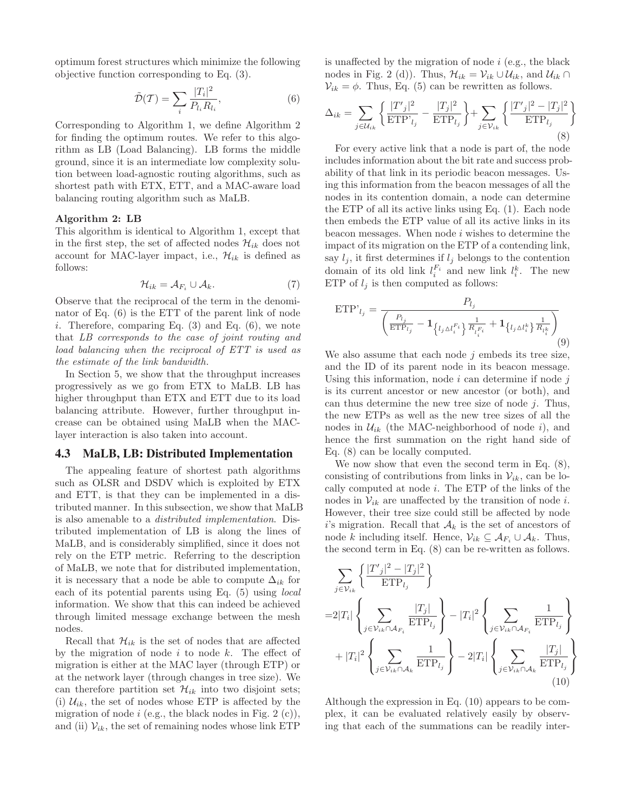optimum forest structures which minimize the following objective function corresponding to Eq. (3).

$$
\tilde{\mathcal{D}}(\mathcal{T}) = \sum_{i} \frac{|T_i|^2}{P_{l_i} R_{l_i}},\tag{6}
$$

Corresponding to Algorithm 1, we define Algorithm 2 for finding the optimum routes. We refer to this algorithm as LB (Load Balancing). LB forms the middle ground, since it is an intermediate low complexity solution between load-agnostic routing algorithms, such as shortest path with ETX, ETT, and a MAC-aware load balancing routing algorithm such as MaLB.

#### Algorithm 2: LB

This algorithm is identical to Algorithm 1, except that in the first step, the set of affected nodes  $\mathcal{H}_{ik}$  does not account for MAC-layer impact, i.e.,  $\mathcal{H}_{ik}$  is defined as follows:

$$
\mathcal{H}_{ik} = \mathcal{A}_{F_i} \cup \mathcal{A}_k. \tag{7}
$$

Observe that the reciprocal of the term in the denominator of Eq. (6) is the ETT of the parent link of node i. Therefore, comparing Eq.  $(3)$  and Eq.  $(6)$ , we note that LB corresponds to the case of joint routing and load balancing when the reciprocal of ETT is used as the estimate of the link bandwidth.

In Section 5, we show that the throughput increases progressively as we go from ETX to MaLB. LB has higher throughput than ETX and ETT due to its load balancing attribute. However, further throughput increase can be obtained using MaLB when the MAClayer interaction is also taken into account.

#### **4.3 MaLB, LB: Distributed Implementation**

The appealing feature of shortest path algorithms such as OLSR and DSDV which is exploited by ETX and ETT, is that they can be implemented in a distributed manner. In this subsection, we show that MaLB is also amenable to a distributed implementation. Distributed implementation of LB is along the lines of MaLB, and is considerably simplified, since it does not rely on the ETP metric. Referring to the description of MaLB, we note that for distributed implementation, it is necessary that a node be able to compute  $\Delta_{ik}$  for each of its potential parents using Eq. (5) using local information. We show that this can indeed be achieved through limited message exchange between the mesh nodes.

Recall that  $\mathcal{H}_{ik}$  is the set of nodes that are affected by the migration of node  $i$  to node  $k$ . The effect of migration is either at the MAC layer (through ETP) or at the network layer (through changes in tree size). We can therefore partition set  $\mathcal{H}_{ik}$  into two disjoint sets; (i)  $\mathcal{U}_{ik}$ , the set of nodes whose ETP is affected by the migration of node  $i$  (e.g., the black nodes in Fig. 2 (c)), and (ii)  $V_{ik}$ , the set of remaining nodes whose link ETP

is unaffected by the migration of node  $i$  (e.g., the black nodes in Fig. 2 (d)). Thus,  $\mathcal{H}_{ik} = \mathcal{V}_{ik} \cup \mathcal{U}_{ik}$ , and  $\mathcal{U}_{ik} \cap$  $V_{ik} = \phi$ . Thus, Eq. (5) can be rewritten as follows.

$$
\Delta_{ik} = \sum_{j \in \mathcal{U}_{ik}} \left\{ \frac{|T'_{j}|^2}{\text{ETP'}_{l_j}} - \frac{|T_j|^2}{\text{ETP}_{l_j}} \right\} + \sum_{j \in \mathcal{V}_{ik}} \left\{ \frac{|T'_{j}|^2 - |T_j|^2}{\text{ETP}_{l_j}} \right\} \tag{8}
$$

For every active link that a node is part of, the node includes information about the bit rate and success probability of that link in its periodic beacon messages. Using this information from the beacon messages of all the nodes in its contention domain, a node can determine the ETP of all its active links using Eq. (1). Each node then embeds the ETP value of all its active links in its beacon messages. When node  $i$  wishes to determine the impact of its migration on the ETP of a contending link, say  $l_j$ , it first determines if  $l_j$  belongs to the contention domain of its old link  $l_i^{F_i}$  and new link  $l_i^k$ . The new ETP of  $l_i$  is then computed as follows:

$$
ETP'_{l_j} = \frac{P_{l_j}}{\left(\frac{P_{l_j}}{ETP_{l_j}} - 1_{\left\{l_j \Delta l_i^{F_i}\right\}} \frac{1}{R_{l_i^{F_i}}}} + 1_{\left\{l_j \Delta l_i^{k}\right\}} \frac{1}{R_{l_i^{k}}}\right)} \tag{9}
$$

We also assume that each node  $j$  embeds its tree size, and the ID of its parent node in its beacon message. Using this information, node  $i$  can determine if node  $j$ is its current ancestor or new ancestor (or both), and can thus determine the new tree size of node  $j$ . Thus, the new ETPs as well as the new tree sizes of all the nodes in  $\mathcal{U}_{ik}$  (the MAC-neighborhood of node i), and hence the first summation on the right hand side of Eq. (8) can be locally computed.

We now show that even the second term in Eq.  $(8)$ , consisting of contributions from links in  $\mathcal{V}_{ik}$ , can be locally computed at node  $i$ . The ETP of the links of the nodes in  $V_{ik}$  are unaffected by the transition of node *i*. However, their tree size could still be affected by node i's migration. Recall that  $A_k$  is the set of ancestors of node k including itself. Hence,  $V_{ik} \subseteq A_{F_i} \cup A_k$ . Thus, the second term in Eq. (8) can be re-written as follows.

$$
\sum_{j \in \mathcal{V}_{ik}} \left\{ \frac{|T'_{j}|^2 - |T_j|^2}{\mathrm{ETP}_{l_j}} \right\}
$$
\n
$$
= 2|T_i| \left\{ \sum_{j \in \mathcal{V}_{ik} \cap \mathcal{A}_{F_i}} \frac{|T_j|}{\mathrm{ETP}_{l_j}} \right\} - |T_i|^2 \left\{ \sum_{j \in \mathcal{V}_{ik} \cap \mathcal{A}_{F_i}} \frac{1}{\mathrm{ETP}_{l_j}} \right\}
$$
\n
$$
+ |T_i|^2 \left\{ \sum_{j \in \mathcal{V}_{ik} \cap \mathcal{A}_k} \frac{1}{\mathrm{ETP}_{l_j}} \right\} - 2|T_i| \left\{ \sum_{j \in \mathcal{V}_{ik} \cap \mathcal{A}_k} \frac{|T_j|}{\mathrm{ETP}_{l_j}} \right\} \tag{10}
$$

Although the expression in Eq. (10) appears to be complex, it can be evaluated relatively easily by observing that each of the summations can be readily inter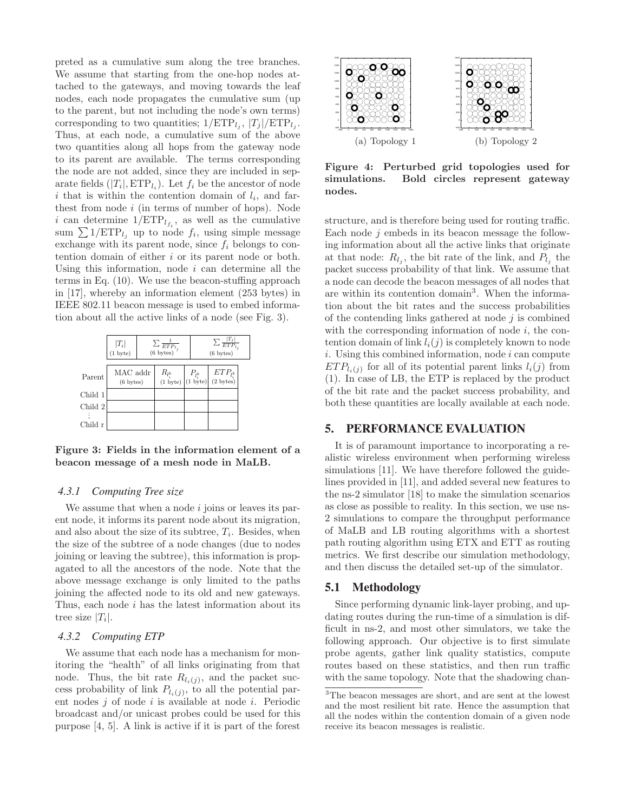preted as a cumulative sum along the tree branches. We assume that starting from the one-hop nodes attached to the gateways, and moving towards the leaf nodes, each node propagates the cumulative sum (up to the parent, but not including the node's own terms) corresponding to two quantities;  $1/\text{ETP}_{l_j}$ ,  $|T_j|/\text{ETP}_{l_j}$ . Thus, at each node, a cumulative sum of the above two quantities along all hops from the gateway node to its parent are available. The terms corresponding the node are not added, since they are included in separate fields  $(|T_i|, \text{ETP}_{l_i})$ . Let  $f_i$  be the ancestor of node i that is within the contention domain of  $l_i$ , and farthest from node  $i$  (in terms of number of hops). Node i can determine  $1/\text{ETP}_{l_{f_i}}$ , as well as the cumulative sum  $\sum 1/\mathrm{ETP}_{l_j}$  up to node  $f_i$ , using simple message exchange with its parent node, since  $f_i$  belongs to contention domain of either i or its parent node or both. Using this information, node  $i$  can determine all the terms in Eq. (10). We use the beacon-stuffing approach in [17], whereby an information element (253 bytes) in IEEE 802.11 beacon message is used to embed information about all the active links of a node (see Fig. 3).



Figure 3: Fields in the information element of a beacon message of a mesh node in MaLB.

#### *4.3.1 Computing Tree size*

We assume that when a node  $i$  joins or leaves its parent node, it informs its parent node about its migration, and also about the size of its subtree,  $T_i$ . Besides, when the size of the subtree of a node changes (due to nodes joining or leaving the subtree), this information is propagated to all the ancestors of the node. Note that the above message exchange is only limited to the paths joining the affected node to its old and new gateways. Thus, each node i has the latest information about its tree size  $|T_i|$ .

## *4.3.2 Computing ETP*

We assume that each node has a mechanism for monitoring the "health" of all links originating from that node. Thus, the bit rate  $R_{l_i(j)}$ , and the packet success probability of link  $P_{l_i(j)}$ , to all the potential parent nodes  $j$  of node  $i$  is available at node  $i$ . Periodic broadcast and/or unicast probes could be used for this purpose [4, 5]. A link is active if it is part of the forest



Figure 4: Perturbed grid topologies used for simulations. Bold circles represent gateway nodes.

structure, and is therefore being used for routing traffic. Each node  $j$  embeds in its beacon message the following information about all the active links that originate at that node:  $R_{l_j}$ , the bit rate of the link, and  $P_{l_j}$  the packet success probability of that link. We assume that a node can decode the beacon messages of all nodes that are within its contention domain<sup>3</sup>. When the information about the bit rates and the success probabilities of the contending links gathered at node  $j$  is combined with the corresponding information of node  $i$ , the contention domain of link  $l_i(j)$  is completely known to node  $i.$  Using this combined information, node  $i$  can compute  $ETP_{l_i(j)}$  for all of its potential parent links  $l_i(j)$  from (1). In case of LB, the ETP is replaced by the product of the bit rate and the packet success probability, and both these quantities are locally available at each node.

# **5. PERFORMANCE EVALUATION**

It is of paramount importance to incorporating a realistic wireless environment when performing wireless simulations [11]. We have therefore followed the guidelines provided in [11], and added several new features to the ns-2 simulator [18] to make the simulation scenarios as close as possible to reality. In this section, we use ns-2 simulations to compare the throughput performance of MaLB and LB routing algorithms with a shortest path routing algorithm using ETX and ETT as routing metrics. We first describe our simulation methodology, and then discuss the detailed set-up of the simulator.

#### **5.1 Methodology**

Since performing dynamic link-layer probing, and updating routes during the run-time of a simulation is difficult in ns-2, and most other simulators, we take the following approach. Our objective is to first simulate probe agents, gather link quality statistics, compute routes based on these statistics, and then run traffic with the same topology. Note that the shadowing chan-

<sup>3</sup>The beacon messages are short, and are sent at the lowest and the most resilient bit rate. Hence the assumption that all the nodes within the contention domain of a given node receive its beacon messages is realistic.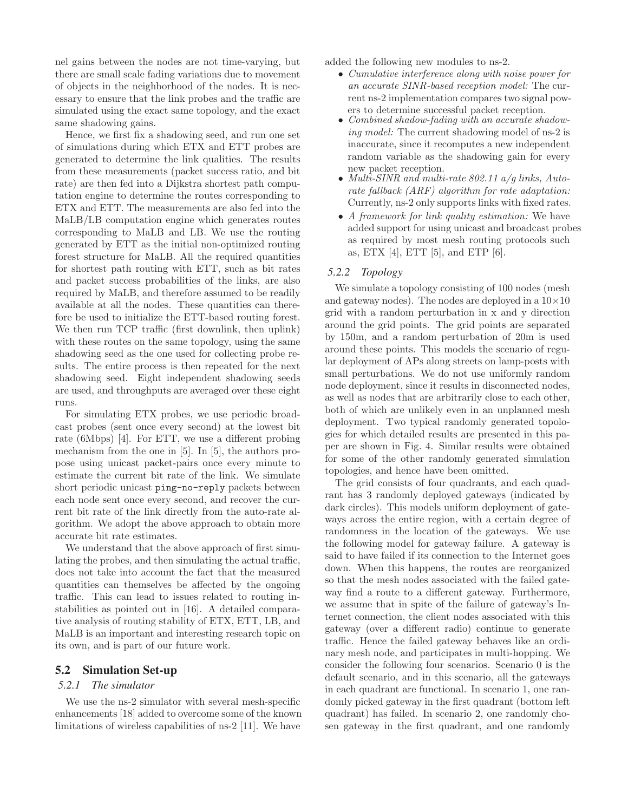nel gains between the nodes are not time-varying, but there are small scale fading variations due to movement of objects in the neighborhood of the nodes. It is necessary to ensure that the link probes and the traffic are simulated using the exact same topology, and the exact same shadowing gains.

Hence, we first fix a shadowing seed, and run one set of simulations during which ETX and ETT probes are generated to determine the link qualities. The results from these measurements (packet success ratio, and bit rate) are then fed into a Dijkstra shortest path computation engine to determine the routes corresponding to ETX and ETT. The measurements are also fed into the MaLB/LB computation engine which generates routes corresponding to MaLB and LB. We use the routing generated by ETT as the initial non-optimized routing forest structure for MaLB. All the required quantities for shortest path routing with ETT, such as bit rates and packet success probabilities of the links, are also required by MaLB, and therefore assumed to be readily available at all the nodes. These quantities can therefore be used to initialize the ETT-based routing forest. We then run TCP traffic (first downlink, then uplink) with these routes on the same topology, using the same shadowing seed as the one used for collecting probe results. The entire process is then repeated for the next shadowing seed. Eight independent shadowing seeds are used, and throughputs are averaged over these eight runs.

For simulating ETX probes, we use periodic broadcast probes (sent once every second) at the lowest bit rate (6Mbps) [4]. For ETT, we use a different probing mechanism from the one in [5]. In [5], the authors propose using unicast packet-pairs once every minute to estimate the current bit rate of the link. We simulate short periodic unicast ping-no-reply packets between each node sent once every second, and recover the current bit rate of the link directly from the auto-rate algorithm. We adopt the above approach to obtain more accurate bit rate estimates.

We understand that the above approach of first simulating the probes, and then simulating the actual traffic, does not take into account the fact that the measured quantities can themselves be affected by the ongoing traffic. This can lead to issues related to routing instabilities as pointed out in [16]. A detailed comparative analysis of routing stability of ETX, ETT, LB, and MaLB is an important and interesting research topic on its own, and is part of our future work.

## **5.2 Simulation Set-up**

#### *5.2.1 The simulator*

We use the ns-2 simulator with several mesh-specific enhancements [18] added to overcome some of the known limitations of wireless capabilities of ns-2 [11]. We have

added the following new modules to ns-2.

- Cumulative interference along with noise power for an accurate SINR-based reception model: The current ns-2 implementation compares two signal powers to determine successful packet reception.
- Combined shadow-fading with an accurate shadowing model: The current shadowing model of ns-2 is inaccurate, since it recomputes a new independent random variable as the shadowing gain for every new packet reception.
- Multi-SINR and multi-rate 802.11 a/g links, Autorate fallback (ARF) algorithm for rate adaptation: Currently, ns-2 only supports links with fixed rates.
- A framework for link quality estimation: We have added support for using unicast and broadcast probes as required by most mesh routing protocols such as, ETX [4], ETT [5], and ETP [6].

## *5.2.2 Topology*

We simulate a topology consisting of 100 nodes (mesh and gateway nodes). The nodes are deployed in a  $10\times10$ grid with a random perturbation in x and y direction around the grid points. The grid points are separated by 150m, and a random perturbation of 20m is used around these points. This models the scenario of regular deployment of APs along streets on lamp-posts with small perturbations. We do not use uniformly random node deployment, since it results in disconnected nodes, as well as nodes that are arbitrarily close to each other, both of which are unlikely even in an unplanned mesh deployment. Two typical randomly generated topologies for which detailed results are presented in this paper are shown in Fig. 4. Similar results were obtained for some of the other randomly generated simulation topologies, and hence have been omitted.

The grid consists of four quadrants, and each quadrant has 3 randomly deployed gateways (indicated by dark circles). This models uniform deployment of gateways across the entire region, with a certain degree of randomness in the location of the gateways. We use the following model for gateway failure. A gateway is said to have failed if its connection to the Internet goes down. When this happens, the routes are reorganized so that the mesh nodes associated with the failed gateway find a route to a different gateway. Furthermore, we assume that in spite of the failure of gateway's Internet connection, the client nodes associated with this gateway (over a different radio) continue to generate traffic. Hence the failed gateway behaves like an ordinary mesh node, and participates in multi-hopping. We consider the following four scenarios. Scenario 0 is the default scenario, and in this scenario, all the gateways in each quadrant are functional. In scenario 1, one randomly picked gateway in the first quadrant (bottom left quadrant) has failed. In scenario 2, one randomly chosen gateway in the first quadrant, and one randomly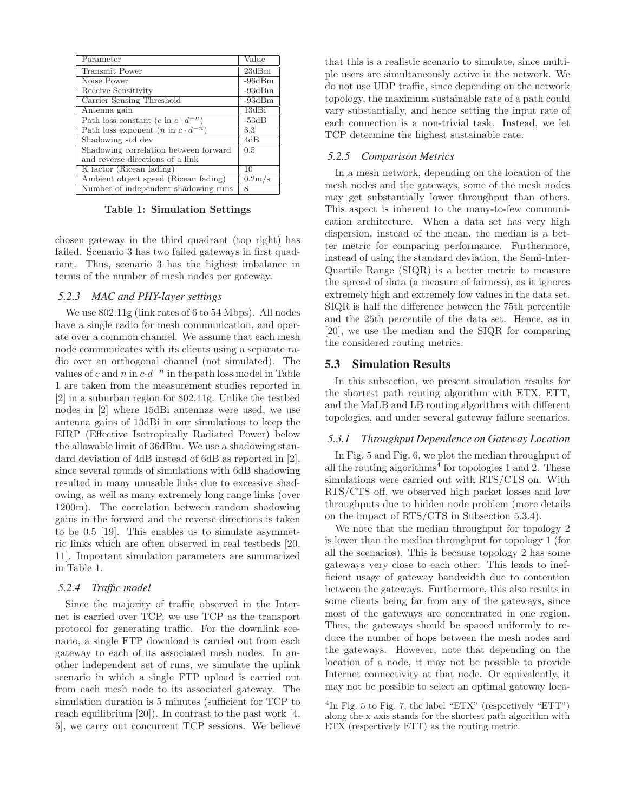| Parameter                                           | Value    |
|-----------------------------------------------------|----------|
| <b>Transmit Power</b>                               | 23dBm    |
| Noise Power                                         | $-96dBm$ |
| Receive Sensitivity                                 | $-93dBm$ |
| Carrier Sensing Threshold                           | $-93dBm$ |
| Antenna gain                                        | 13dBi    |
| Path loss constant (c in $c \cdot d^{-n}$ )         | $-53dB$  |
| Path loss exponent $(n \text{ in } c \cdot d^{-n})$ | 3.3      |
| Shadowing std dev                                   | 4dB      |
| Shadowing correlation between forward               | 0.5      |
| and reverse directions of a link                    |          |
| K factor (Ricean fading)                            | 10       |
| Ambient object speed (Ricean fading)                | 0.2m/s   |
| Number of independent shadowing runs                | 8        |

Table 1: Simulation Settings

chosen gateway in the third quadrant (top right) has failed. Scenario 3 has two failed gateways in first quadrant. Thus, scenario 3 has the highest imbalance in terms of the number of mesh nodes per gateway.

#### *5.2.3 MAC and PHY-layer settings*

We use 802.11g (link rates of 6 to 54 Mbps). All nodes have a single radio for mesh communication, and operate over a common channel. We assume that each mesh node communicates with its clients using a separate radio over an orthogonal channel (not simulated). The values of c and n in  $c \cdot d^{-n}$  in the path loss model in Table 1 are taken from the measurement studies reported in [2] in a suburban region for 802.11g. Unlike the testbed nodes in [2] where 15dBi antennas were used, we use antenna gains of 13dBi in our simulations to keep the EIRP (Effective Isotropically Radiated Power) below the allowable limit of 36dBm. We use a shadowing standard deviation of 4dB instead of 6dB as reported in [2], since several rounds of simulations with 6dB shadowing resulted in many unusable links due to excessive shadowing, as well as many extremely long range links (over 1200m). The correlation between random shadowing gains in the forward and the reverse directions is taken to be 0.5 [19]. This enables us to simulate asymmetric links which are often observed in real testbeds [20, 11]. Important simulation parameters are summarized in Table 1.

#### *5.2.4 Traffic model*

Since the majority of traffic observed in the Internet is carried over TCP, we use TCP as the transport protocol for generating traffic. For the downlink scenario, a single FTP download is carried out from each gateway to each of its associated mesh nodes. In another independent set of runs, we simulate the uplink scenario in which a single FTP upload is carried out from each mesh node to its associated gateway. The simulation duration is 5 minutes (sufficient for TCP to reach equilibrium [20]). In contrast to the past work [4, 5], we carry out concurrent TCP sessions. We believe that this is a realistic scenario to simulate, since multiple users are simultaneously active in the network. We do not use UDP traffic, since depending on the network topology, the maximum sustainable rate of a path could vary substantially, and hence setting the input rate of each connection is a non-trivial task. Instead, we let TCP determine the highest sustainable rate.

#### *5.2.5 Comparison Metrics*

In a mesh network, depending on the location of the mesh nodes and the gateways, some of the mesh nodes may get substantially lower throughput than others. This aspect is inherent to the many-to-few communication architecture. When a data set has very high dispersion, instead of the mean, the median is a better metric for comparing performance. Furthermore, instead of using the standard deviation, the Semi-Inter-Quartile Range (SIQR) is a better metric to measure the spread of data (a measure of fairness), as it ignores extremely high and extremely low values in the data set. SIQR is half the difference between the 75th percentile and the 25th percentile of the data set. Hence, as in [20], we use the median and the SIQR for comparing the considered routing metrics.

#### **5.3 Simulation Results**

In this subsection, we present simulation results for the shortest path routing algorithm with ETX, ETT, and the MaLB and LB routing algorithms with different topologies, and under several gateway failure scenarios.

## *5.3.1 Throughput Dependence on Gateway Location*

In Fig. 5 and Fig. 6, we plot the median throughput of all the routing algorithms<sup>4</sup> for topologies 1 and 2. These simulations were carried out with RTS/CTS on. With RTS/CTS off, we observed high packet losses and low throughputs due to hidden node problem (more details on the impact of RTS/CTS in Subsection 5.3.4).

We note that the median throughput for topology 2 is lower than the median throughput for topology 1 (for all the scenarios). This is because topology 2 has some gateways very close to each other. This leads to inefficient usage of gateway bandwidth due to contention between the gateways. Furthermore, this also results in some clients being far from any of the gateways, since most of the gateways are concentrated in one region. Thus, the gateways should be spaced uniformly to reduce the number of hops between the mesh nodes and the gateways. However, note that depending on the location of a node, it may not be possible to provide Internet connectivity at that node. Or equivalently, it may not be possible to select an optimal gateway loca-

<sup>&</sup>lt;sup>4</sup>In Fig. 5 to Fig. 7, the label "ETX" (respectively "ETT") along the x-axis stands for the shortest path algorithm with ETX (respectively ETT) as the routing metric.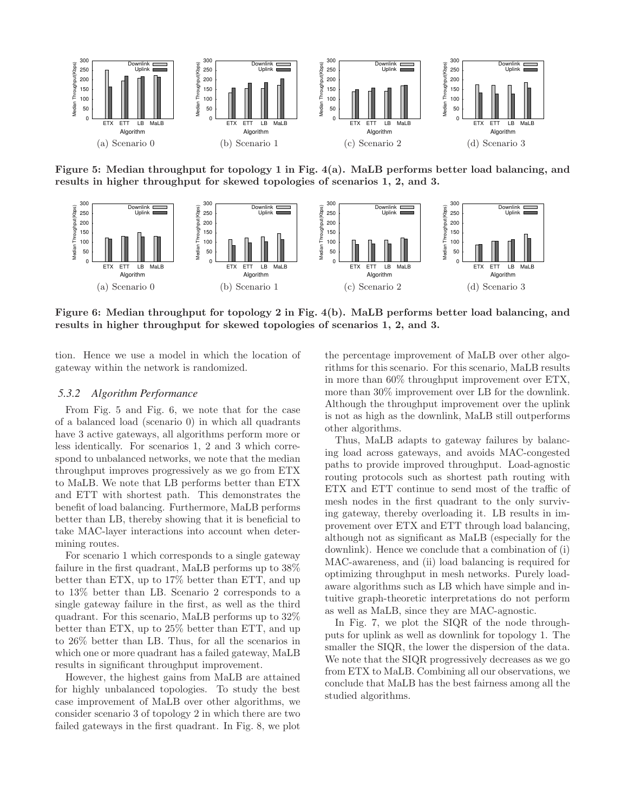

Figure 5: Median throughput for topology 1 in Fig. 4(a). MaLB performs better load balancing, and results in higher throughput for skewed topologies of scenarios 1, 2, and 3.



Figure 6: Median throughput for topology 2 in Fig. 4(b). MaLB performs better load balancing, and results in higher throughput for skewed topologies of scenarios 1, 2, and 3.

tion. Hence we use a model in which the location of gateway within the network is randomized.

#### *5.3.2 Algorithm Performance*

From Fig. 5 and Fig. 6, we note that for the case of a balanced load (scenario 0) in which all quadrants have 3 active gateways, all algorithms perform more or less identically. For scenarios 1, 2 and 3 which correspond to unbalanced networks, we note that the median throughput improves progressively as we go from ETX to MaLB. We note that LB performs better than ETX and ETT with shortest path. This demonstrates the benefit of load balancing. Furthermore, MaLB performs better than LB, thereby showing that it is beneficial to take MAC-layer interactions into account when determining routes.

For scenario 1 which corresponds to a single gateway failure in the first quadrant, MaLB performs up to 38% better than ETX, up to 17% better than ETT, and up to 13% better than LB. Scenario 2 corresponds to a single gateway failure in the first, as well as the third quadrant. For this scenario, MaLB performs up to 32% better than ETX, up to 25% better than ETT, and up to 26% better than LB. Thus, for all the scenarios in which one or more quadrant has a failed gateway, MaLB results in significant throughput improvement.

However, the highest gains from MaLB are attained for highly unbalanced topologies. To study the best case improvement of MaLB over other algorithms, we consider scenario 3 of topology 2 in which there are two failed gateways in the first quadrant. In Fig. 8, we plot

the percentage improvement of MaLB over other algorithms for this scenario. For this scenario, MaLB results in more than 60% throughput improvement over ETX, more than 30% improvement over LB for the downlink. Although the throughput improvement over the uplink is not as high as the downlink, MaLB still outperforms other algorithms.

Thus, MaLB adapts to gateway failures by balancing load across gateways, and avoids MAC-congested paths to provide improved throughput. Load-agnostic routing protocols such as shortest path routing with ETX and ETT continue to send most of the traffic of mesh nodes in the first quadrant to the only surviving gateway, thereby overloading it. LB results in improvement over ETX and ETT through load balancing, although not as significant as MaLB (especially for the downlink). Hence we conclude that a combination of (i) MAC-awareness, and (ii) load balancing is required for optimizing throughput in mesh networks. Purely loadaware algorithms such as LB which have simple and intuitive graph-theoretic interpretations do not perform as well as MaLB, since they are MAC-agnostic.

In Fig. 7, we plot the SIQR of the node throughputs for uplink as well as downlink for topology 1. The smaller the SIQR, the lower the dispersion of the data. We note that the SIQR progressively decreases as we go from ETX to MaLB. Combining all our observations, we conclude that MaLB has the best fairness among all the studied algorithms.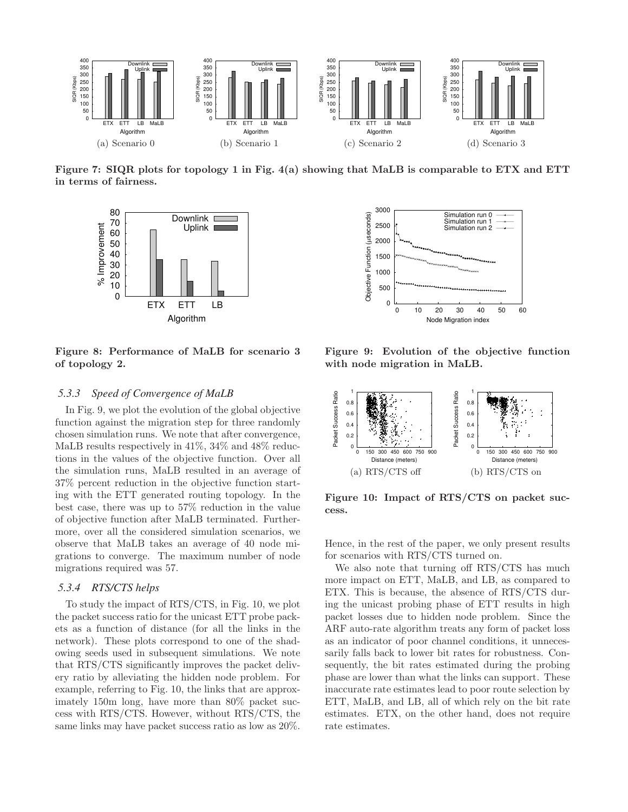

Figure 7: SIQR plots for topology 1 in Fig. 4(a) showing that MaLB is comparable to ETX and ETT in terms of fairness.



Figure 8: Performance of MaLB for scenario 3 of topology 2.

## *5.3.3 Speed of Convergence of MaLB*

In Fig. 9, we plot the evolution of the global objective function against the migration step for three randomly chosen simulation runs. We note that after convergence, MaLB results respectively in  $41\%$ ,  $34\%$  and  $48\%$  reductions in the values of the objective function. Over all the simulation runs, MaLB resulted in an average of 37% percent reduction in the objective function starting with the ETT generated routing topology. In the best case, there was up to 57% reduction in the value of objective function after MaLB terminated. Furthermore, over all the considered simulation scenarios, we observe that MaLB takes an average of 40 node migrations to converge. The maximum number of node migrations required was 57.

#### *5.3.4 RTS/CTS helps*

To study the impact of RTS/CTS, in Fig. 10, we plot the packet success ratio for the unicast ETT probe packets as a function of distance (for all the links in the network). These plots correspond to one of the shadowing seeds used in subsequent simulations. We note that RTS/CTS significantly improves the packet delivery ratio by alleviating the hidden node problem. For example, referring to Fig. 10, the links that are approximately 150m long, have more than 80% packet success with RTS/CTS. However, without RTS/CTS, the same links may have packet success ratio as low as 20%.



Figure 9: Evolution of the objective function with node migration in MaLB.



Figure 10: Impact of RTS/CTS on packet success.

Hence, in the rest of the paper, we only present results for scenarios with RTS/CTS turned on.

We also note that turning off RTS/CTS has much more impact on ETT, MaLB, and LB, as compared to ETX. This is because, the absence of RTS/CTS during the unicast probing phase of ETT results in high packet losses due to hidden node problem. Since the ARF auto-rate algorithm treats any form of packet loss as an indicator of poor channel conditions, it unnecessarily falls back to lower bit rates for robustness. Consequently, the bit rates estimated during the probing phase are lower than what the links can support. These inaccurate rate estimates lead to poor route selection by ETT, MaLB, and LB, all of which rely on the bit rate estimates. ETX, on the other hand, does not require rate estimates.